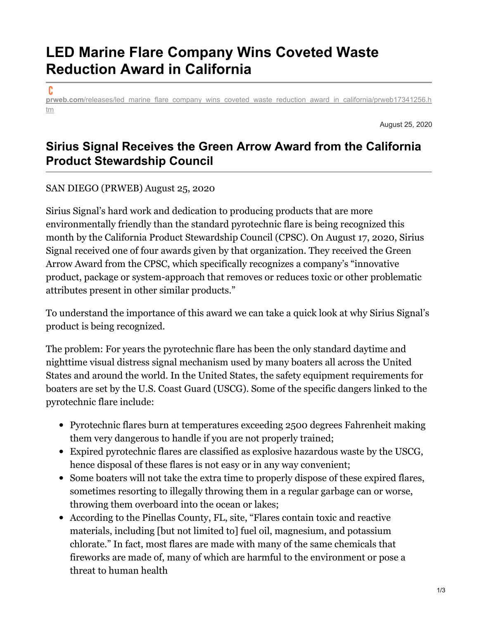## **LED Marine Flare Company Wins Coveted Waste Reduction Award in California**

c

**prweb.com/releases/led** marine flare company wins coveted waste reduction award in california/prweb17341256.h tm

August 25, 2020

## **Sirius Signal Receives the Green Arrow Award from the California Product Stewardship Council**

## SAN DIEGO (PRWEB) August 25, 2020

Sirius Signal's hard work and dedication to producing products that are more environmentally friendly than the standard pyrotechnic flare is being recognized this month by the California Product Stewardship Council (CPSC). On August 17, 2020, Sirius Signal received one of four awards given by that organization. They received the Green Arrow Award from the CPSC, which specifically recognizes a company's "innovative product, package or system-approach that removes or reduces toxic or other problematic attributes present in other similar products."

To understand the importance of this award we can take a quick look at why Sirius Signal's product is being recognized.

The problem: For years the pyrotechnic flare has been the only standard daytime and nighttime visual distress signal mechanism used by many boaters all across the United States and around the world. In the United States, the safety equipment requirements for boaters are set by the U.S. Coast Guard (USCG). Some of the specific dangers linked to the pyrotechnic flare include:

- Pyrotechnic flares burn at temperatures exceeding 2500 degrees Fahrenheit making them very dangerous to handle if you are not properly trained;
- Expired pyrotechnic flares are classified as explosive hazardous waste by the USCG, hence disposal of these flares is not easy or in any way convenient;
- Some boaters will not take the extra time to properly dispose of these expired flares, sometimes resorting to illegally throwing them in a regular garbage can or worse, throwing them overboard into the ocean or lakes;
- According to the Pinellas County, FL, site, "Flares contain toxic and reactive materials, including [but not limited to] fuel oil, magnesium, and potassium chlorate." In fact, most flares are made with many of the same chemicals that fireworks are made of, many of which are harmful to the environment or pose a threat to human health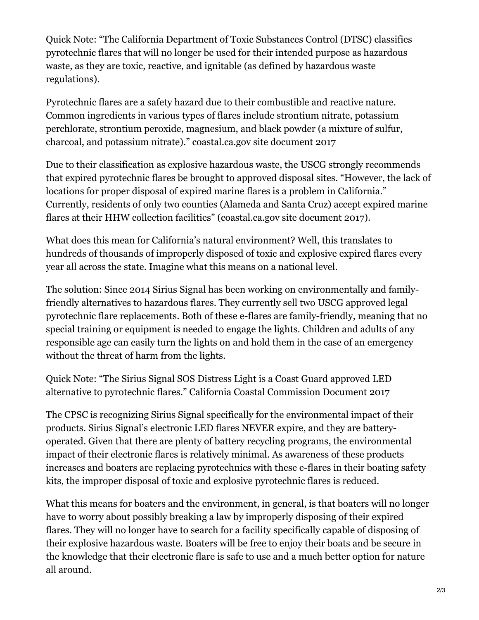Quick Note: "The California Department of Toxic Substances Control (DTSC) classifies pyrotechnic flares that will no longer be used for their intended purpose as hazardous waste, as they are toxic, reactive, and ignitable (as defined by hazardous waste regulations).

Pyrotechnic flares are a safety hazard due to their combustible and reactive nature. Common ingredients in various types of flares include strontium nitrate, potassium perchlorate, strontium peroxide, magnesium, and black powder (a mixture of sulfur, charcoal, and potassium nitrate)." coastal.ca.gov site document 2017

Due to their classification as explosive hazardous waste, the USCG strongly recommends that expired pyrotechnic flares be brought to approved disposal sites. "However, the lack of locations for proper disposal of expired marine flares is a problem in California." Currently, residents of only two counties (Alameda and Santa Cruz) accept expired marine flares at their HHW collection facilities" (coastal.ca.gov site document 2017).

What does this mean for California's natural environment? Well, this translates to hundreds of thousands of improperly disposed of toxic and explosive expired flares every year all across the state. Imagine what this means on a national level.

The solution: Since 2014 Sirius Signal has been working on environmentally and familyfriendly alternatives to hazardous flares. They currently sell two USCG approved legal pyrotechnic flare replacements. Both of these e-flares are family-friendly, meaning that no special training or equipment is needed to engage the lights. Children and adults of any responsible age can easily turn the lights on and hold them in the case of an emergency without the threat of harm from the lights.

Quick Note: "The Sirius Signal SOS Distress Light is a Coast Guard approved LED alternative to pyrotechnic flares." California Coastal Commission Document 2017

The CPSC is recognizing Sirius Signal specifically for the environmental impact of their products. Sirius Signal's electronic LED flares NEVER expire, and they are batteryoperated. Given that there are plenty of battery recycling programs, the environmental impact of their electronic flares is relatively minimal. As awareness of these products increases and boaters are replacing pyrotechnics with these e-flares in their boating safety kits, the improper disposal of toxic and explosive pyrotechnic flares is reduced.

What this means for boaters and the environment, in general, is that boaters will no longer have to worry about possibly breaking a law by improperly disposing of their expired flares. They will no longer have to search for a facility specifically capable of disposing of their explosive hazardous waste. Boaters will be free to enjoy their boats and be secure in the knowledge that their electronic flare is safe to use and a much better option for nature all around.